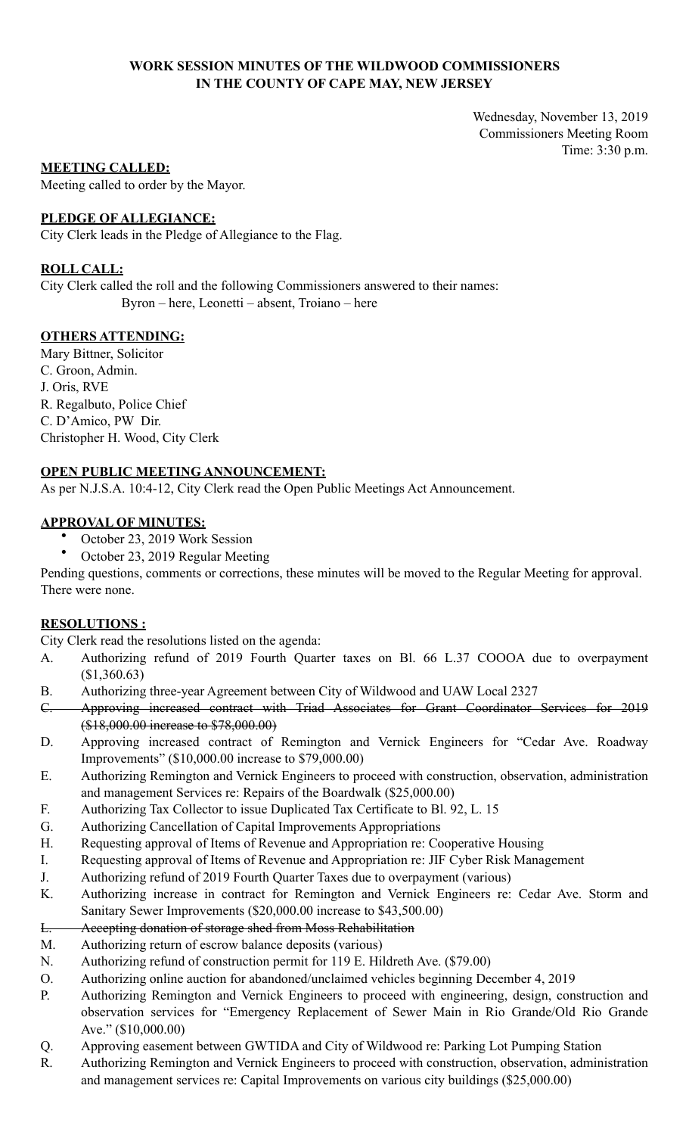## **WORK SESSION MINUTES OF THE WILDWOOD COMMISSIONERS IN THE COUNTY OF CAPE MAY, NEW JERSEY**

Wednesday, November 13, 2019 Commissioners Meeting Room Time: 3:30 p.m.

## **MEETING CALLED:**

Meeting called to order by the Mayor.

## **PLEDGE OF ALLEGIANCE:**

City Clerk leads in the Pledge of Allegiance to the Flag.

## **ROLL CALL:**

City Clerk called the roll and the following Commissioners answered to their names: Byron – here, Leonetti – absent, Troiano – here

## **OTHERS ATTENDING:**

Mary Bittner, Solicitor C. Groon, Admin. J. Oris, RVE R. Regalbuto, Police Chief C. D'Amico, PW Dir. Christopher H. Wood, City Clerk

## **OPEN PUBLIC MEETING ANNOUNCEMENT:**

As per N.J.S.A. 10:4-12, City Clerk read the Open Public Meetings Act Announcement.

## **APPROVAL OF MINUTES:**

- October 23, 2019 Work Session
- October 23, 2019 Regular Meeting

Pending questions, comments or corrections, these minutes will be moved to the Regular Meeting for approval. There were none.

### **RESOLUTIONS :**

City Clerk read the resolutions listed on the agenda:

- A. Authorizing refund of 2019 Fourth Quarter taxes on Bl. 66 L.37 COOOA due to overpayment (\$1,360.63)
- B. Authorizing three-year Agreement between City of Wildwood and UAW Local 2327
- C. Approving increased contract with Triad Associates for Grant Coordinator Services for 2019 (\$18,000.00 increase to \$78,000.00)
- D. Approving increased contract of Remington and Vernick Engineers for "Cedar Ave. Roadway Improvements" (\$10,000.00 increase to \$79,000.00)
- E. Authorizing Remington and Vernick Engineers to proceed with construction, observation, administration and management Services re: Repairs of the Boardwalk (\$25,000.00)
- F. Authorizing Tax Collector to issue Duplicated Tax Certificate to Bl. 92, L. 15
- G. Authorizing Cancellation of Capital Improvements Appropriations
- H. Requesting approval of Items of Revenue and Appropriation re: Cooperative Housing
- I. Requesting approval of Items of Revenue and Appropriation re: JIF Cyber Risk Management
- J. Authorizing refund of 2019 Fourth Quarter Taxes due to overpayment (various)
- K. Authorizing increase in contract for Remington and Vernick Engineers re: Cedar Ave. Storm and Sanitary Sewer Improvements (\$20,000.00 increase to \$43,500.00)
- L. Accepting donation of storage shed from Moss Rehabilitation
- M. Authorizing return of escrow balance deposits (various)
- N. Authorizing refund of construction permit for 119 E. Hildreth Ave. (\$79.00)
- O. Authorizing online auction for abandoned/unclaimed vehicles beginning December 4, 2019
- P. Authorizing Remington and Vernick Engineers to proceed with engineering, design, construction and observation services for "Emergency Replacement of Sewer Main in Rio Grande/Old Rio Grande Ave." (\$10,000.00)
- Q. Approving easement between GWTIDA and City of Wildwood re: Parking Lot Pumping Station
- R. Authorizing Remington and Vernick Engineers to proceed with construction, observation, administration and management services re: Capital Improvements on various city buildings (\$25,000.00)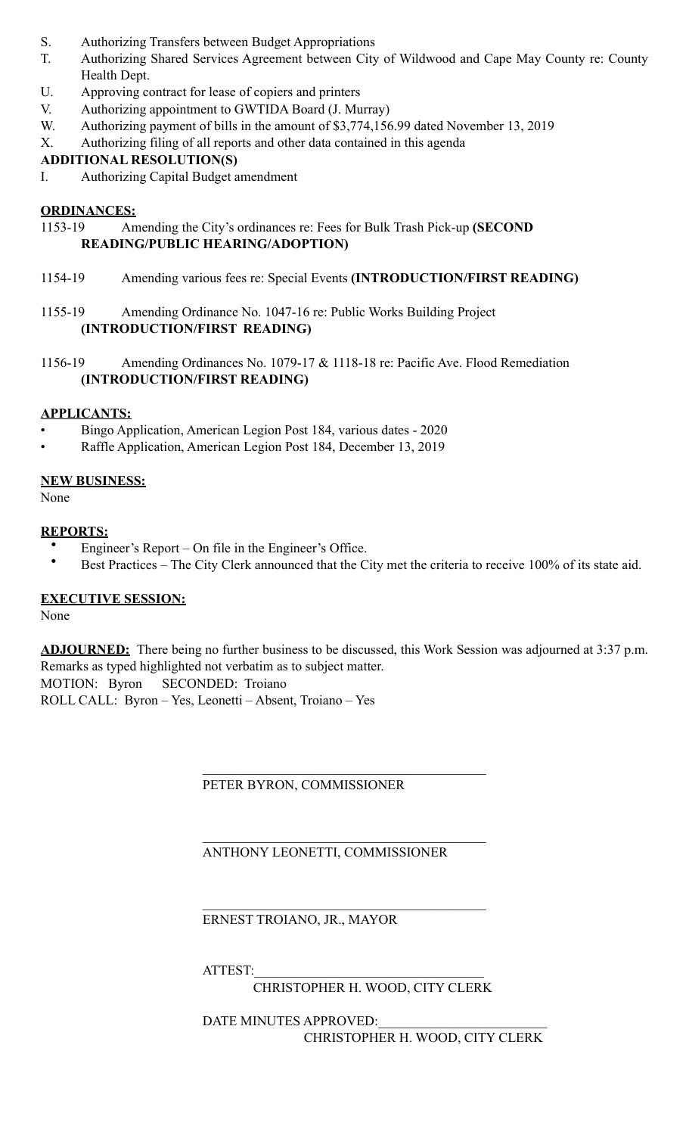- S. Authorizing Transfers between Budget Appropriations
- T. Authorizing Shared Services Agreement between City of Wildwood and Cape May County re: County Health Dept.
- U. Approving contract for lease of copiers and printers
- V. Authorizing appointment to GWTIDA Board (J. Murray)
- W. Authorizing payment of bills in the amount of \$3,774,156.99 dated November 13, 2019
- X. Authorizing filing of all reports and other data contained in this agenda

# **ADDITIONAL RESOLUTION(S)**

I. Authorizing Capital Budget amendment

# **ORDINANCES:**

- 1153-19 Amending the City's ordinances re: Fees for Bulk Trash Pick-up **(SECOND READING/PUBLIC HEARING/ADOPTION)**
- 1154-19 Amending various fees re: Special Events **(INTRODUCTION/FIRST READING)**
- 1155-19 Amending Ordinance No. 1047-16 re: Public Works Building Project **(INTRODUCTION/FIRST READING)**
- 1156-19 Amending Ordinances No. 1079-17 & 1118-18 re: Pacific Ave. Flood Remediation **(INTRODUCTION/FIRST READING)**

# **APPLICANTS:**

- Bingo Application, American Legion Post 184, various dates 2020
- Raffle Application, American Legion Post 184, December 13, 2019

# **NEW BUSINESS:**

None

# **REPORTS:**

- Engineer's Report On file in the Engineer's Office.
- Best Practices The City Clerk announced that the City met the criteria to receive 100% of its state aid.

# **EXECUTIVE SESSION:**

None

**ADJOURNED:** There being no further business to be discussed, this Work Session was adjourned at 3:37 p.m. Remarks as typed highlighted not verbatim as to subject matter.

MOTION: Byron SECONDED: Troiano

ROLL CALL: Byron – Yes, Leonetti – Absent, Troiano – Yes

# PETER BYRON, COMMISSIONER

 $\mathcal{L}_\mathcal{L} = \mathcal{L}_\mathcal{L} = \mathcal{L}_\mathcal{L} = \mathcal{L}_\mathcal{L} = \mathcal{L}_\mathcal{L} = \mathcal{L}_\mathcal{L} = \mathcal{L}_\mathcal{L} = \mathcal{L}_\mathcal{L} = \mathcal{L}_\mathcal{L} = \mathcal{L}_\mathcal{L} = \mathcal{L}_\mathcal{L} = \mathcal{L}_\mathcal{L} = \mathcal{L}_\mathcal{L} = \mathcal{L}_\mathcal{L} = \mathcal{L}_\mathcal{L} = \mathcal{L}_\mathcal{L} = \mathcal{L}_\mathcal{L}$ 

 $\mathcal{L}_\mathcal{L} = \mathcal{L}_\mathcal{L} = \mathcal{L}_\mathcal{L} = \mathcal{L}_\mathcal{L} = \mathcal{L}_\mathcal{L} = \mathcal{L}_\mathcal{L} = \mathcal{L}_\mathcal{L} = \mathcal{L}_\mathcal{L} = \mathcal{L}_\mathcal{L} = \mathcal{L}_\mathcal{L} = \mathcal{L}_\mathcal{L} = \mathcal{L}_\mathcal{L} = \mathcal{L}_\mathcal{L} = \mathcal{L}_\mathcal{L} = \mathcal{L}_\mathcal{L} = \mathcal{L}_\mathcal{L} = \mathcal{L}_\mathcal{L}$ 

 $\mathcal{L}_\mathcal{L} = \mathcal{L}_\mathcal{L} = \mathcal{L}_\mathcal{L} = \mathcal{L}_\mathcal{L} = \mathcal{L}_\mathcal{L} = \mathcal{L}_\mathcal{L} = \mathcal{L}_\mathcal{L} = \mathcal{L}_\mathcal{L} = \mathcal{L}_\mathcal{L} = \mathcal{L}_\mathcal{L} = \mathcal{L}_\mathcal{L} = \mathcal{L}_\mathcal{L} = \mathcal{L}_\mathcal{L} = \mathcal{L}_\mathcal{L} = \mathcal{L}_\mathcal{L} = \mathcal{L}_\mathcal{L} = \mathcal{L}_\mathcal{L}$ 

ANTHONY LEONETTI, COMMISSIONER

ERNEST TROIANO, JR., MAYOR

ATTEST:

CHRISTOPHER H. WOOD, CITY CLERK

DATE MINUTES APPROVED: CHRISTOPHER H. WOOD, CITY CLERK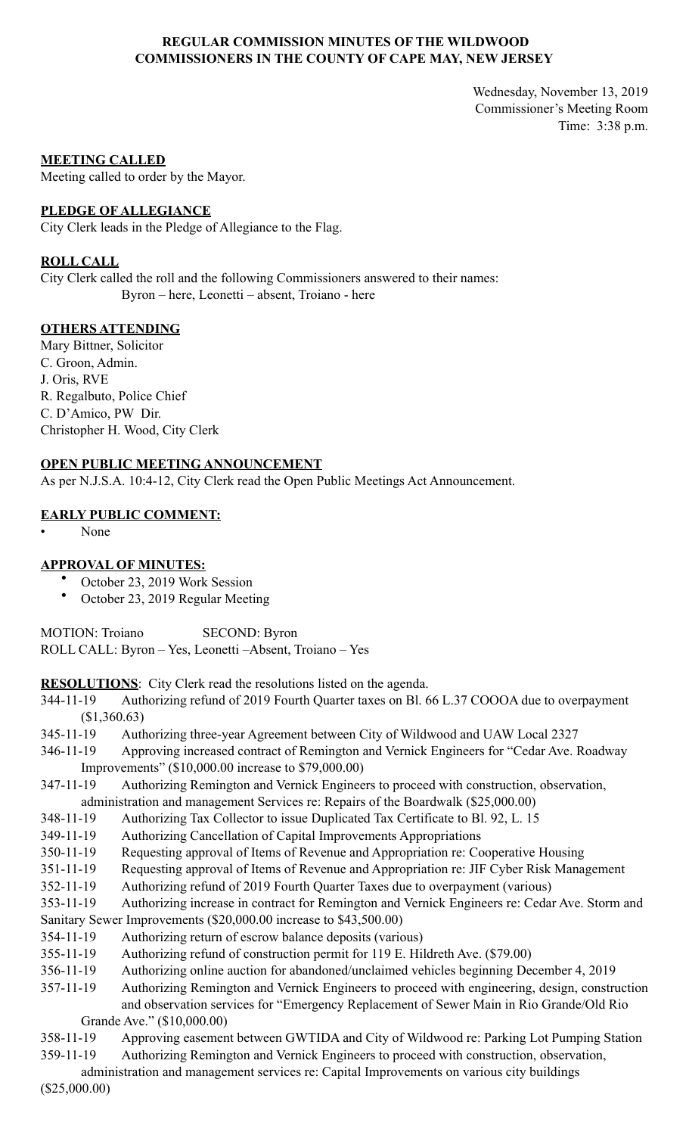## **REGULAR COMMISSION MINUTES OF THE WILDWOOD COMMISSIONERS IN THE COUNTY OF CAPE MAY, NEW JERSEY**

Wednesday, November 13, 2019 Commissioner's Meeting Room Time: 3:38 p.m.

### **MEETING CALLED**

Meeting called to order by the Mayor.

### **PLEDGE OF ALLEGIANCE**

City Clerk leads in the Pledge of Allegiance to the Flag.

### **ROLL CALL**

City Clerk called the roll and the following Commissioners answered to their names: Byron – here, Leonetti – absent, Troiano - here

### **OTHERS ATTENDING**

Mary Bittner, Solicitor C. Groon, Admin. J. Oris, RVE R. Regalbuto, Police Chief C. D'Amico, PW Dir. Christopher H. Wood, City Clerk

### **OPEN PUBLIC MEETING ANNOUNCEMENT**

As per N.J.S.A. 10:4-12, City Clerk read the Open Public Meetings Act Announcement.

### **EARLY PUBLIC COMMENT:**

• None

#### **APPROVAL OF MINUTES:**

- October 23, 2019 Work Session
- October 23, 2019 Regular Meeting

MOTION: Troiano SECOND: Byron ROLL CALL: Byron – Yes, Leonetti –Absent, Troiano – Yes

**RESOLUTIONS**: City Clerk read the resolutions listed on the agenda.

- 344-11-19 Authorizing refund of 2019 Fourth Quarter taxes on Bl. 66 L.37 COOOA due to overpayment (\$1,360.63)
- 345-11-19 Authorizing three-year Agreement between City of Wildwood and UAW Local 2327
- 346-11-19 Approving increased contract of Remington and Vernick Engineers for "Cedar Ave. Roadway Improvements" (\$10,000.00 increase to \$79,000.00)
- 347-11-19 Authorizing Remington and Vernick Engineers to proceed with construction, observation, administration and management Services re: Repairs of the Boardwalk (\$25,000.00)
- 348-11-19 Authorizing Tax Collector to issue Duplicated Tax Certificate to Bl. 92, L. 15
- 349-11-19 Authorizing Cancellation of Capital Improvements Appropriations
- 350-11-19 Requesting approval of Items of Revenue and Appropriation re: Cooperative Housing
- 351-11-19 Requesting approval of Items of Revenue and Appropriation re: JIF Cyber Risk Management
- 352-11-19 Authorizing refund of 2019 Fourth Quarter Taxes due to overpayment (various)
- 353-11-19 Authorizing increase in contract for Remington and Vernick Engineers re: Cedar Ave. Storm and
- Sanitary Sewer Improvements (\$20,000.00 increase to \$43,500.00)
- 354-11-19 Authorizing return of escrow balance deposits (various)
- 355-11-19 Authorizing refund of construction permit for 119 E. Hildreth Ave. (\$79.00)
- 356-11-19 Authorizing online auction for abandoned/unclaimed vehicles beginning December 4, 2019
- 357-11-19 Authorizing Remington and Vernick Engineers to proceed with engineering, design, construction and observation services for "Emergency Replacement of Sewer Main in Rio Grande/Old Rio Grande Ave." (\$10,000.00)
- 358-11-19 Approving easement between GWTIDA and City of Wildwood re: Parking Lot Pumping Station
- 359-11-19 Authorizing Remington and Vernick Engineers to proceed with construction, observation,
- administration and management services re: Capital Improvements on various city buildings

(\$25,000.00)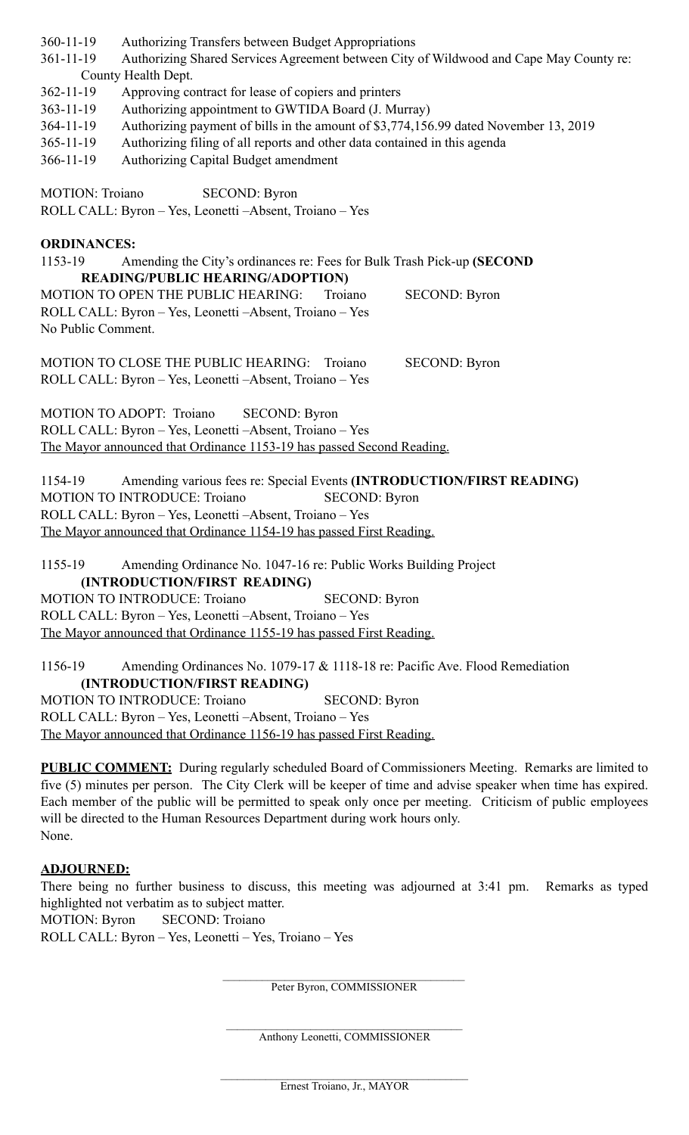360-11-19 Authorizing Transfers between Budget Appropriations

361-11-19 Authorizing Shared Services Agreement between City of Wildwood and Cape May County re: County Health Dept.

362-11-19 Approving contract for lease of copiers and printers

363-11-19 Authorizing appointment to GWTIDA Board (J. Murray)

364-11-19 Authorizing payment of bills in the amount of \$3,774,156.99 dated November 13, 2019

365-11-19 Authorizing filing of all reports and other data contained in this agenda

366-11-19 Authorizing Capital Budget amendment

MOTION: Troiano SECOND: Byron ROLL CALL: Byron – Yes, Leonetti –Absent, Troiano – Yes

## **ORDINANCES:**

1153-19 Amending the City's ordinances re: Fees for Bulk Trash Pick-up **(SECOND READING/PUBLIC HEARING/ADOPTION)**  MOTION TO OPEN THE PUBLIC HEARING: Troiano SECOND: Byron ROLL CALL: Byron – Yes, Leonetti –Absent, Troiano – Yes No Public Comment.

MOTION TO CLOSE THE PUBLIC HEARING: Troiano SECOND: Byron ROLL CALL: Byron – Yes, Leonetti –Absent, Troiano – Yes

MOTION TO ADOPT: Troiano SECOND: Byron ROLL CALL: Byron – Yes, Leonetti –Absent, Troiano – Yes The Mayor announced that Ordinance 1153-19 has passed Second Reading.

1154-19 Amending various fees re: Special Events **(INTRODUCTION/FIRST READING)** MOTION TO INTRODUCE: Troiano SECOND: Byron ROLL CALL: Byron – Yes, Leonetti –Absent, Troiano – Yes The Mayor announced that Ordinance 1154-19 has passed First Reading.

1155-19 Amending Ordinance No. 1047-16 re: Public Works Building Project **(INTRODUCTION/FIRST READING)**  MOTION TO INTRODUCE: Troiano SECOND: Byron ROLL CALL: Byron – Yes, Leonetti –Absent, Troiano – Yes The Mayor announced that Ordinance 1155-19 has passed First Reading.

1156-19 Amending Ordinances No. 1079-17 & 1118-18 re: Pacific Ave. Flood Remediation **(INTRODUCTION/FIRST READING)**  MOTION TO INTRODUCE: Troiano SECOND: Byron ROLL CALL: Byron – Yes, Leonetti –Absent, Troiano – Yes The Mayor announced that Ordinance 1156-19 has passed First Reading.

**PUBLIC COMMENT:** During regularly scheduled Board of Commissioners Meeting. Remarks are limited to five (5) minutes per person. The City Clerk will be keeper of time and advise speaker when time has expired. Each member of the public will be permitted to speak only once per meeting. Criticism of public employees will be directed to the Human Resources Department during work hours only. None.

## **ADJOURNED:**

There being no further business to discuss, this meeting was adjourned at 3:41 pm. Remarks as typed highlighted not verbatim as to subject matter.

MOTION: Byron SECOND: Troiano

ROLL CALL: Byron – Yes, Leonetti – Yes, Troiano – Yes

Peter Byron, COMMISSIONER

 $\mathcal{L}_\text{max}$ Anthony Leonetti, COMMISSIONER